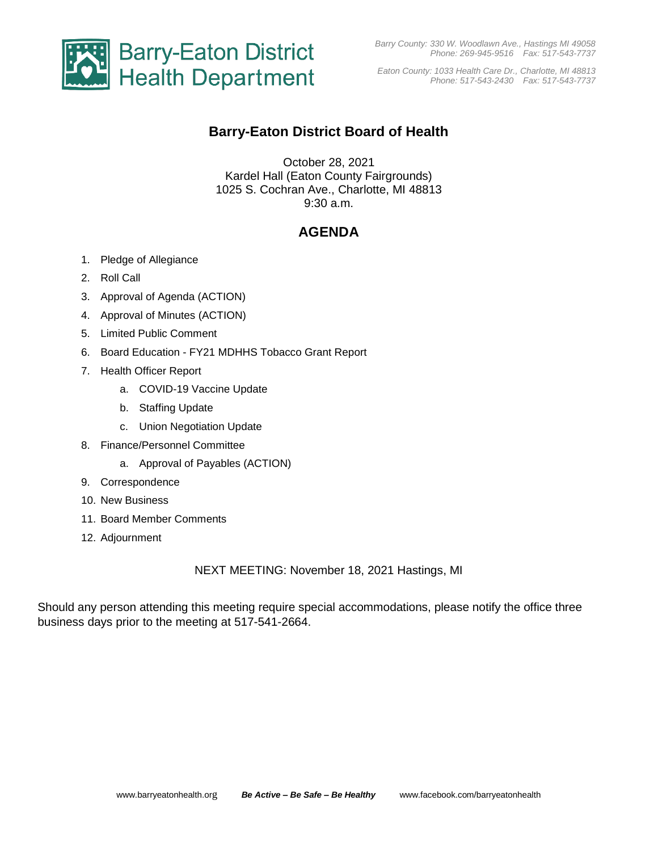

*Eaton County: 1033 Health Care Dr., Charlotte, MI 48813 Phone: 517-543-2430 Fax: 517-543-7737*

## **Barry-Eaton District Board of Health**

October 28, 2021 Kardel Hall (Eaton County Fairgrounds) 1025 S. Cochran Ave., Charlotte, MI 48813 9:30 a.m.

## **AGENDA**

- 1. Pledge of Allegiance
- 2. Roll Call
- 3. Approval of Agenda (ACTION)
- 4. Approval of Minutes (ACTION)
- 5. Limited Public Comment
- 6. Board Education FY21 MDHHS Tobacco Grant Report
- 7. Health Officer Report
	- a. COVID-19 Vaccine Update
	- b. Staffing Update
	- c. Union Negotiation Update
- 8. Finance/Personnel Committee
	- a. Approval of Payables (ACTION)
- 9. Correspondence
- 10. New Business
- 11. Board Member Comments
- 12. Adjournment

NEXT MEETING: November 18, 2021 Hastings, MI

Should any person attending this meeting require special accommodations, please notify the office three business days prior to the meeting at 517-541-2664.